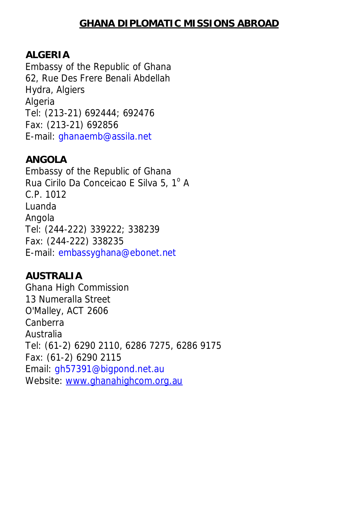### **GHANA DIPLOMATIC MISSIONS ABROAD**

#### **ALGERIA**

Embassy of the Republic of Ghana 62, Rue Des Frere Benali Abdellah Hydra, Algiers **Algeria** Tel: (213-21) 692444; 692476 Fax: (213-21) 692856 E-mail: ghanaemb@assila.net

#### **ANGOLA**

Embassy of the Republic of Ghana Rua Cirilo Da Conceicao E Silva 5, 1º A C.P. 1012 Luanda Angola Tel: (244-222) 339222; 338239 Fax: (244-222) 338235 E-mail: embassyghana@ebonet.net

#### **AUSTRALIA**

Ghana High Commission 13 Numeralla Street O'Malley, ACT 2606 Canberra Australia Tel: (61-2) 6290 2110, 6286 7275, 6286 9175 Fax: (61-2) 6290 2115 Email: gh57391@bigpond.net.au Website: www.ghanahighcom.org.au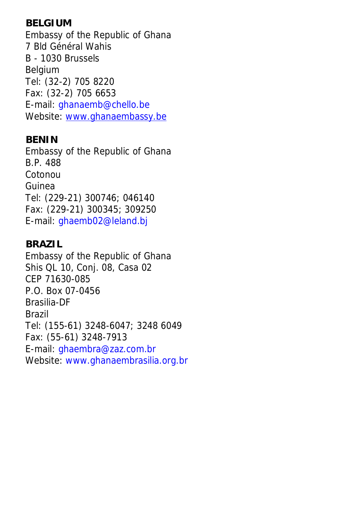## **BELGIUM**

Embassy of the Republic of Ghana 7 Bld Général Wahis B - 1030 Brussels Belgium Tel: (32-2) 705 8220 Fax: (32-2) 705 6653 E-mail: ghanaemb@chello.be Website: www.ghanaembassy.be

#### **BENIN**

Embassy of the Republic of Ghana B.P. 488 Cotonou Guinea Tel: (229-21) 300746; 046140 Fax: (229-21) 300345; 309250 E-mail: ghaemb02@leland.bj

#### **BRAZIL**

Embassy of the Republic of Ghana Shis QL 10, Conj. 08, Casa 02 CEP 71630-085 P.O. Box 07-0456 Brasilia-DF Brazil Tel: (155-61) 3248-6047; 3248 6049 Fax: (55-61) 3248-7913 E-mail: ghaembra@zaz.com.br Website: www.ghanaembrasilia.org.br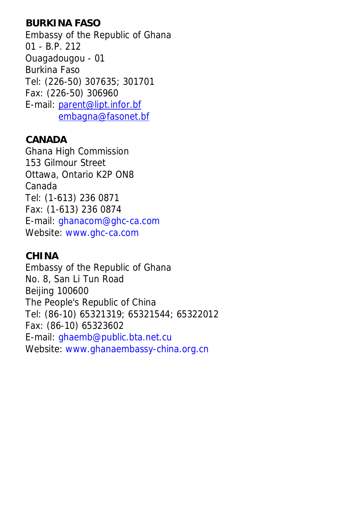## **BURKINA FASO**

Embassy of the Republic of Ghana 01 - B.P. 212 Ouagadougou - 01 Burkina Faso Tel: (226-50) 307635; 301701 Fax: (226-50) 306960 E-mail: parent@lipt.infor.bf embagna@fasonet.bf

### **CANADA**

Ghana High Commission 153 Gilmour Street Ottawa, Ontario K2P ON8 Canada Tel: (1-613) 236 0871 Fax: (1-613) 236 0874 E-mail: ghanacom@ghc-ca.com Website: www.ghc-ca.com

# **CHINA**

Embassy of the Republic of Ghana No. 8, San Li Tun Road Beijing 100600 The People's Republic of China Tel: (86-10) 65321319; 65321544; 65322012 Fax: (86-10) 65323602 E-mail: ghaemb@public.bta.net.cu Website: www.ghanaembassy-china.org.cn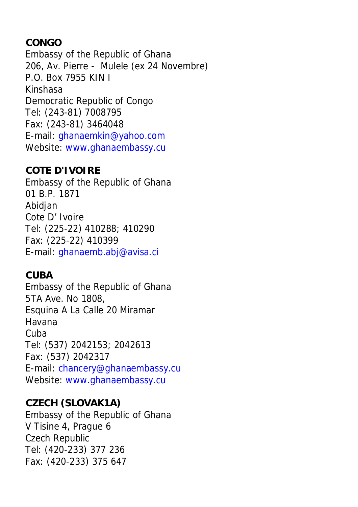# **CONGO**

Embassy of the Republic of Ghana 206, Av. Pierre - Mulele (ex 24 Novembre) P.O. Box 7955 KIN I Kinshasa Democratic Republic of Congo Tel: (243-81) 7008795 Fax: (243-81) 3464048 E-mail: ghanaemkin@yahoo.com Website: www.ghanaembassy.cu

## **COTE D'IVOIRE**

Embassy of the Republic of Ghana 01 B.P. 1871 Abidjan Cote D' Ivoire Tel: (225-22) 410288; 410290 Fax: (225-22) 410399 E-mail: ghanaemb.abj@avisa.ci

# **CUBA**

Embassy of the Republic of Ghana 5TA Ave. No 1808, Esquina A La Calle 20 Miramar Havana Cuba Tel: (537) 2042153; 2042613 Fax: (537) 2042317 E-mail: chancery@ghanaembassy.cu Website: www.ghanaembassy.cu

# **CZECH (SLOVAK1A)**

Embassy of the Republic of Ghana V Tisine 4, Prague 6 Czech Republic Tel: (420-233) 377 236 Fax: (420-233) 375 647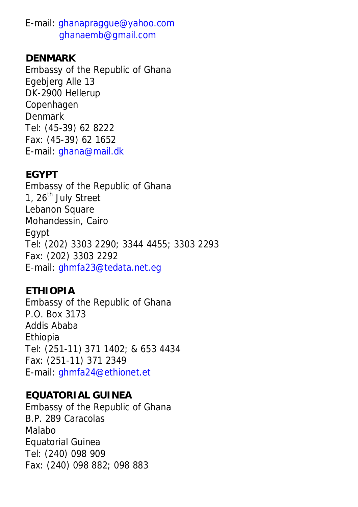E-mail: ghanapraggue@yahoo.com ghanaemb@gmail.com

#### **DENMARK**

Embassy of the Republic of Ghana Egebjerg Alle 13 DK-2900 Hellerup Copenhagen Denmark Tel: (45-39) 62 8222 Fax: (45-39) 62 1652 E-mail: ghana@mail.dk

### **EGYPT**

Embassy of the Republic of Ghana 1, 26<sup>th</sup> July Street Lebanon Square Mohandessin, Cairo Egypt Tel: (202) 3303 2290; 3344 4455; 3303 2293 Fax: (202) 3303 2292 E-mail: ghmfa23@tedata.net.eg

## **ETHIOPIA**

Embassy of the Republic of Ghana P.O. Box 3173 Addis Ababa Ethiopia Tel: (251-11) 371 1402; & 653 4434 Fax: (251-11) 371 2349 E-mail: ghmfa24@ethionet.et

### **EQUATORIAL GUINEA**

Embassy of the Republic of Ghana B.P. 289 Caracolas Malabo Equatorial Guinea Tel: (240) 098 909 Fax: (240) 098 882; 098 883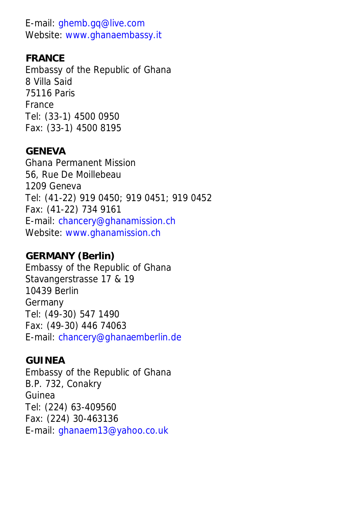E-mail: ghemb.gq@live.com Website: www.ghanaembassy.it

### **FRANCE**

Embassy of the Republic of Ghana 8 Villa Said 75116 Paris France Tel: (33-1) 4500 0950 Fax: (33-1) 4500 8195

#### **GENEVA**

Ghana Permanent Mission 56, Rue De Moillebeau 1209 Geneva Tel: (41-22) 919 0450; 919 0451; 919 0452 Fax: (41-22) 734 9161 E-mail: chancery@ghanamission.ch Website: www.ghanamission.ch

### **GERMANY (Berlin)**

Embassy of the Republic of Ghana Stavangerstrasse 17 & 19 10439 Berlin Germany Tel: (49-30) 547 1490 Fax: (49-30) 446 74063 E-mail: chancery@ghanaemberlin.de

#### **GUINEA**

Embassy of the Republic of Ghana B.P. 732, Conakry Guinea Tel: (224) 63-409560 Fax: (224) 30-463136 E-mail: ghanaem13@yahoo.co.uk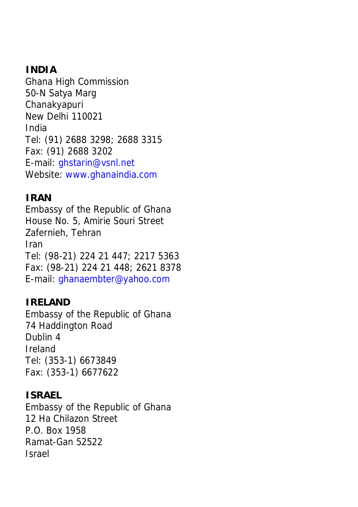### **INDIA**

Ghana High Commission 50-N Satya Marg Chanakyapuri New Delhi 110021 India Tel: (91) 2688 3298; 2688 3315 Fax: (91) 2688 3202 E-mail: ghstarin@vsnl.net Website: www.ghanaindia.com

### **IRAN**

Embassy of the Republic of Ghana House No. 5, Amirie Souri Street Zafernieh, Tehran Iran Tel: (98-21) 224 21 447; 2217 5363 Fax: (98-21) 224 21 448; 2621 8378 E-mail: ghanaembter@yahoo.com

## **IRELAND**

Embassy of the Republic of Ghana 74 Haddington Road Dublin 4 Ireland Tel: (353-1) 6673849 Fax: (353-1) 6677622

### **ISRAEL**

Embassy of the Republic of Ghana 12 Ha Chilazon Street P.O. Box 1958 Ramat-Gan 52522 Israel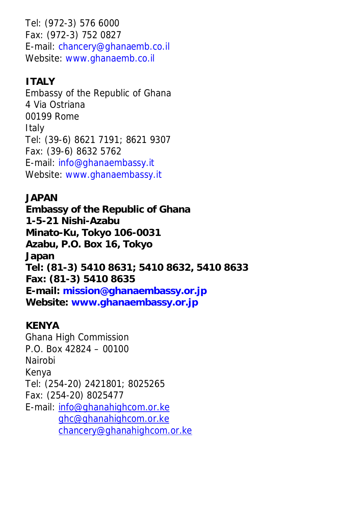Tel: (972-3) 576 6000 Fax: (972-3) 752 0827 E-mail: chancery@ghanaemb.co.il Website: www.ghanaemb.co.il

# **ITALY**

Embassy of the Republic of Ghana 4 Via Ostriana 00199 Rome **Italy** Tel: (39-6) 8621 7191; 8621 9307 Fax: (39-6) 8632 5762 E-mail: info@ghanaembassy.it Website: www.ghanaembassy.it

# **JAPAN**

**Embassy of the Republic of Ghana 1-5-21 Nishi-Azabu Minato-Ku, Tokyo 106-0031 Azabu, P.O. Box 16, Tokyo Japan Tel: (81-3) 5410 8631; 5410 8632, 5410 8633 Fax: (81-3) 5410 8635 E-mail: mission@ghanaembassy.or.jp Website: www.ghanaembassy.or.jp**

## **KENYA**

Ghana High Commission P.O. Box 42824 – 00100 Nairobi Kenya Tel: (254-20) 2421801; 8025265 Fax: (254-20) 8025477 E-mail: info@ghanahighcom.or.ke ghc@ghanahighcom.or.ke chancery@ghanahighcom.or.ke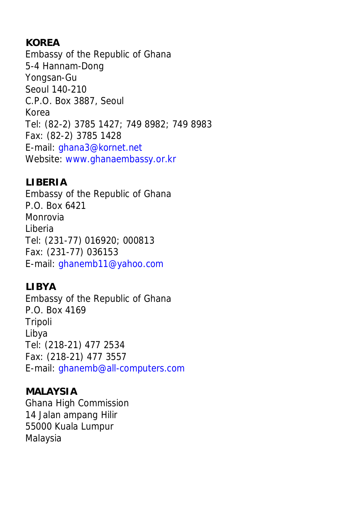# **KOREA**

Embassy of the Republic of Ghana 5-4 Hannam-Dong Yongsan-Gu Seoul 140-210 C.P.O. Box 3887, Seoul Korea Tel: (82-2) 3785 1427; 749 8982; 749 8983 Fax: (82-2) 3785 1428 E-mail: ghana3@kornet.net Website: www.ghanaembassy.or.kr

## **LIBERIA**

Embassy of the Republic of Ghana P.O. Box 6421 Monrovia Liberia Tel: (231-77) 016920; 000813 Fax: (231-77) 036153 E-mail: ghanemb11@yahoo.com

# **LIBYA**

Embassy of the Republic of Ghana P.O. Box 4169 Tripoli Libya Tel: (218-21) 477 2534 Fax: (218-21) 477 3557 E-mail: ghanemb@all-computers.com

## **MALAYSIA**

Ghana High Commission 14 Jalan ampang Hilir 55000 Kuala Lumpur Malaysia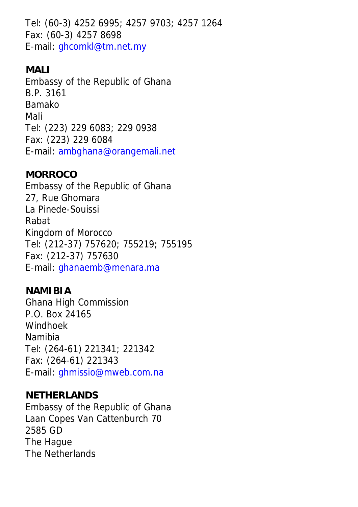Tel: (60-3) 4252 6995; 4257 9703; 4257 1264 Fax: (60-3) 4257 8698 E-mail: ghcomkl@tm.net.my

## **MALI**

Embassy of the Republic of Ghana B.P. 3161 Bamako Mali Tel: (223) 229 6083; 229 0938 Fax: (223) 229 6084 E-mail: ambghana@orangemali.net

### **MORROCO**

Embassy of the Republic of Ghana 27, Rue Ghomara La Pinede-Souissi Rabat Kingdom of Morocco Tel: (212-37) 757620; 755219; 755195 Fax: (212-37) 757630 E-mail: ghanaemb@menara.ma

### **NAMIBIA**

Ghana High Commission P.O. Box 24165 Windhoek Namibia Tel: (264-61) 221341; 221342 Fax: (264-61) 221343 E-mail: ghmissio@mweb.com.na

### **NETHERLANDS**

Embassy of the Republic of Ghana Laan Copes Van Cattenburch 70 2585 GD The Hague The Netherlands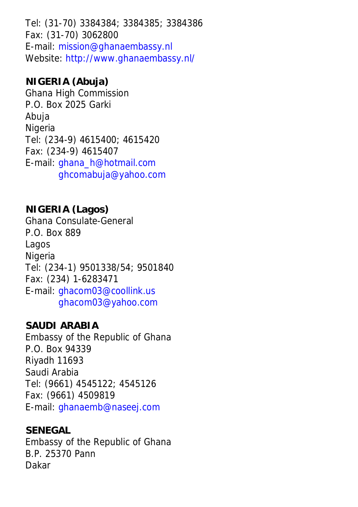Tel: (31-70) 3384384; 3384385; 3384386 Fax: (31-70) 3062800 E-mail: mission@ghanaembassy.nl Website: http://www.ghanaembassy.nl/

# **NIGERIA (Abuja)**

Ghana High Commission P.O. Box 2025 Garki Abuja Nigeria Tel: (234-9) 4615400; 4615420 Fax: (234-9) 4615407 E-mail: ghana\_h@hotmail.com ghcomabuja@yahoo.com

## **NIGERIA (Lagos)**

Ghana Consulate-General P.O. Box 889 Lagos Nigeria Tel: (234-1) 9501338/54; 9501840 Fax: (234) 1-6283471 E-mail: ghacom03@coollink.us ghacom03@yahoo.com

### **SAUDI ARABIA**

Embassy of the Republic of Ghana P.O. Box 94339 Riyadh 11693 Saudi Arabia Tel: (9661) 4545122; 4545126 Fax: (9661) 4509819 E-mail: ghanaemb@naseej.com

#### **SENEGAL**

Embassy of the Republic of Ghana B.P. 25370 Pann Dakar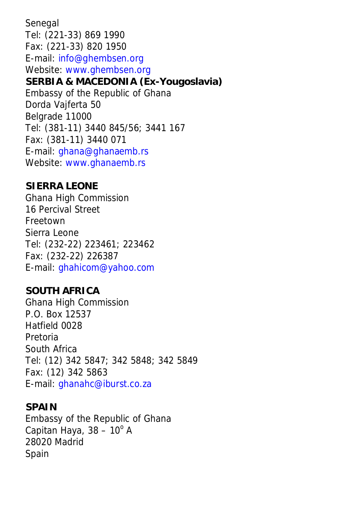Senegal Tel: (221-33) 869 1990 Fax: (221-33) 820 1950 E-mail: info@ghembsen.org Website: www.ghembsen.org **SERBIA & MACEDONIA (Ex-Yougoslavia)** Embassy of the Republic of Ghana Dorda Vajferta 50 Belgrade 11000 Tel: (381-11) 3440 845/56; 3441 167 Fax: (381-11) 3440 071 E-mail: ghana@ghanaemb.rs Website: www.ghanaemb.rs

### **SIERRA LEONE**

Ghana High Commission 16 Percival Street Freetown Sierra Leone Tel: (232-22) 223461; 223462 Fax: (232-22) 226387 E-mail: ghahicom@yahoo.com

### **SOUTH AFRICA**

Ghana High Commission P.O. Box 12537 Hatfield 0028 Pretoria South Africa Tel: (12) 342 5847; 342 5848; 342 5849 Fax: (12) 342 5863 E-mail: ghanahc@iburst.co.za

### **SPAIN**

Embassy of the Republic of Ghana Capitan Haya,  $38 - 10^{\circ}$  A 28020 Madrid Spain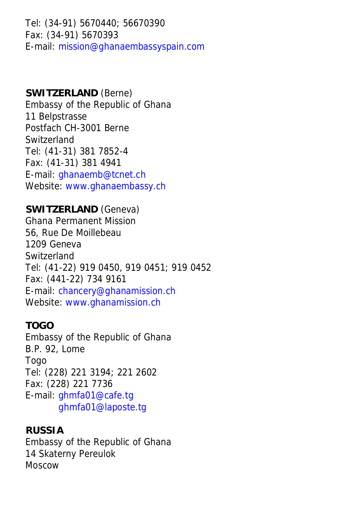Tel: (34-91) 5670440; 56670390 Fax: (34-91) 5670393 E-mail: mission@ghanaembassyspain.com

#### **SWITZERLAND** (Berne)

Embassy of the Republic of Ghana 11 Belpstrasse Postfach CH-3001 Berne Switzerland Tel: (41-31) 381 7852-4 Fax: (41-31) 381 4941 E-mail: ghanaemb@tcnet.ch Website: www.ghanaembassy.ch

### **SWITZERLAND** (Geneva)

Ghana Permanent Mission 56, Rue De Moillebeau 1209 Geneva Switzerland Tel: (41-22) 919 0450, 919 0451; 919 0452 Fax: (441-22) 734 9161 E-mail: chancery@ghanamission.ch Website: www.ghanamission.ch

### **TOGO**

Embassy of the Republic of Ghana B.P. 92, Lome Togo Tel: (228) 221 3194; 221 2602 Fax: (228) 221 7736 E-mail: ghmfa01@cafe.tg ghmfa01@laposte.tg

### **RUSSIA**

Embassy of the Republic of Ghana 14 Skaterny Pereulok Moscow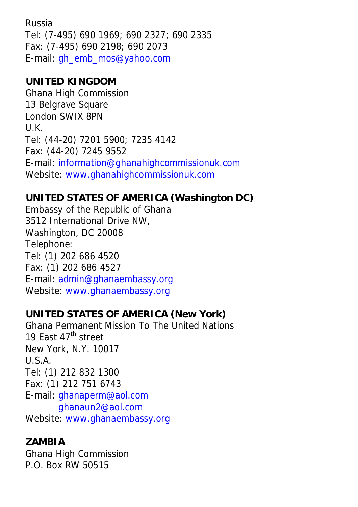Russia Tel: (7-495) 690 1969; 690 2327; 690 2335 Fax: (7-495) 690 2198; 690 2073 E-mail: gh\_emb\_mos@yahoo.com

## **UNITED KINGDOM**

Ghana High Commission 13 Belgrave Square London SWIX 8PN U.K. Tel: (44-20) 7201 5900; 7235 4142 Fax: (44-20) 7245 9552 E-mail: information@ghanahighcommissionuk.com Website: www.ghanahighcommissionuk.com

# **UNITED STATES OF AMERICA (Washington DC)**

Embassy of the Republic of Ghana 3512 International Drive NW, Washington, DC 20008 Telephone: Tel: (1) 202 686 4520 Fax: (1) 202 686 4527 E-mail: admin@ghanaembassy.org Website: www.ghanaembassy.org

# **UNITED STATES OF AMERICA (New York)**

Ghana Permanent Mission To The United Nations 19 East 47<sup>th</sup> street New York, N.Y. 10017 U.S.A. Tel: (1) 212 832 1300 Fax: (1) 212 751 6743 E-mail: ghanaperm@aol.com ghanaun2@aol.com Website: www.ghanaembassy.org

# **ZAMBIA**

Ghana High Commission P.O. Box RW 50515